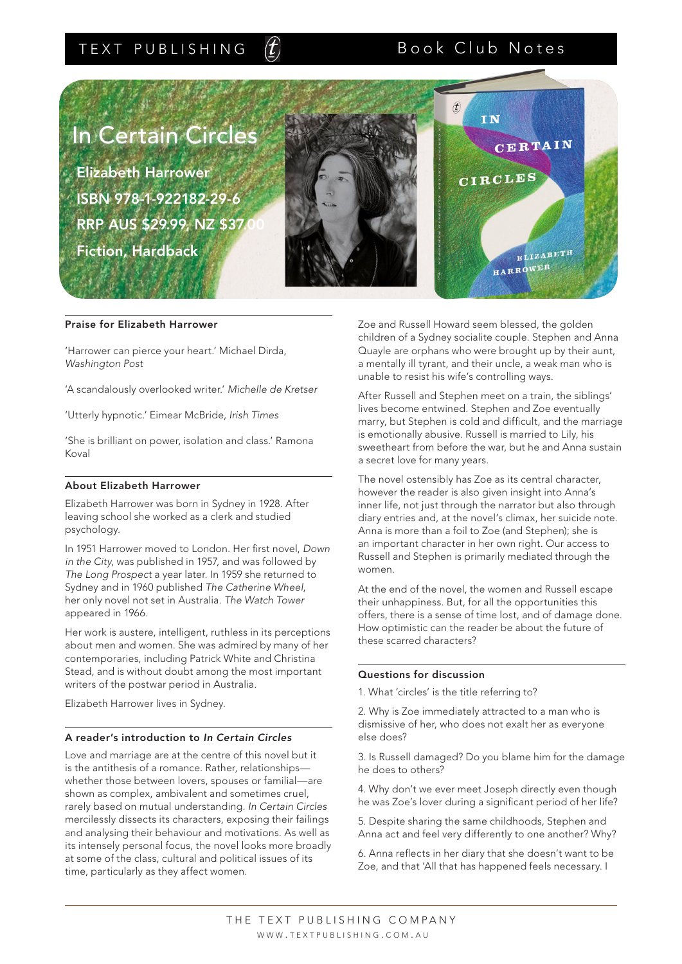## TEXT PUBLISHING

# Book Club Notes



### Praise for Elizabeth Harrower

'Harrower can pierce your heart.' Michael Dirda, *Washington Post*

'A scandalously overlooked writer.' *Michelle de Kretser*

'Utterly hypnotic.' Eimear McBride, *Irish Times* 

'She is brilliant on power, isolation and class.' Ramona Koval

### About Elizabeth Harrower

Elizabeth Harrower was born in Sydney in 1928. After leaving school she worked as a clerk and studied psychology.

In 1951 Harrower moved to London. Her first novel, *Down in the City*, was published in 1957, and was followed by *The Long Prospect* a year later. In 1959 she returned to Sydney and in 1960 published *The Catherine Wheel*, her only novel not set in Australia. *The Watch Tower* appeared in 1966.

Her work is austere, intelligent, ruthless in its perceptions about men and women. She was admired by many of her contemporaries, including Patrick White and Christina Stead, and is without doubt among the most important writers of the postwar period in Australia.

Elizabeth Harrower lives in Sydney.

### A reader's introduction to *In Certain Circles*

Love and marriage are at the centre of this novel but it is the antithesis of a romance. Rather, relationships whether those between lovers, spouses or familial—are shown as complex, ambivalent and sometimes cruel, rarely based on mutual understanding. *In Certain Circles* mercilessly dissects its characters, exposing their failings and analysing their behaviour and motivations. As well as its intensely personal focus, the novel looks more broadly at some of the class, cultural and political issues of its time, particularly as they affect women.

Zoe and Russell Howard seem blessed, the golden children of a Sydney socialite couple. Stephen and Anna Quayle are orphans who were brought up by their aunt, a mentally ill tyrant, and their uncle, a weak man who is unable to resist his wife's controlling ways.

After Russell and Stephen meet on a train, the siblings' lives become entwined. Stephen and Zoe eventually marry, but Stephen is cold and difficult, and the marriage is emotionally abusive. Russell is married to Lily, his sweetheart from before the war, but he and Anna sustain a secret love for many years.

The novel ostensibly has Zoe as its central character, however the reader is also given insight into Anna's inner life, not just through the narrator but also through diary entries and, at the novel's climax, her suicide note. Anna is more than a foil to Zoe (and Stephen); she is an important character in her own right. Our access to Russell and Stephen is primarily mediated through the women.

At the end of the novel, the women and Russell escape their unhappiness. But, for all the opportunities this offers, there is a sense of time lost, and of damage done. How optimistic can the reader be about the future of these scarred characters?

### Questions for discussion

1. What 'circles' is the title referring to?

2. Why is Zoe immediately attracted to a man who is dismissive of her, who does not exalt her as everyone else does?

3. Is Russell damaged? Do you blame him for the damage he does to others?

4. Why don't we ever meet Joseph directly even though he was Zoe's lover during a significant period of her life?

5. Despite sharing the same childhoods, Stephen and Anna act and feel very differently to one another? Why?

6. Anna reflects in her diary that she doesn't want to be Zoe, and that 'All that has happened feels necessary. I